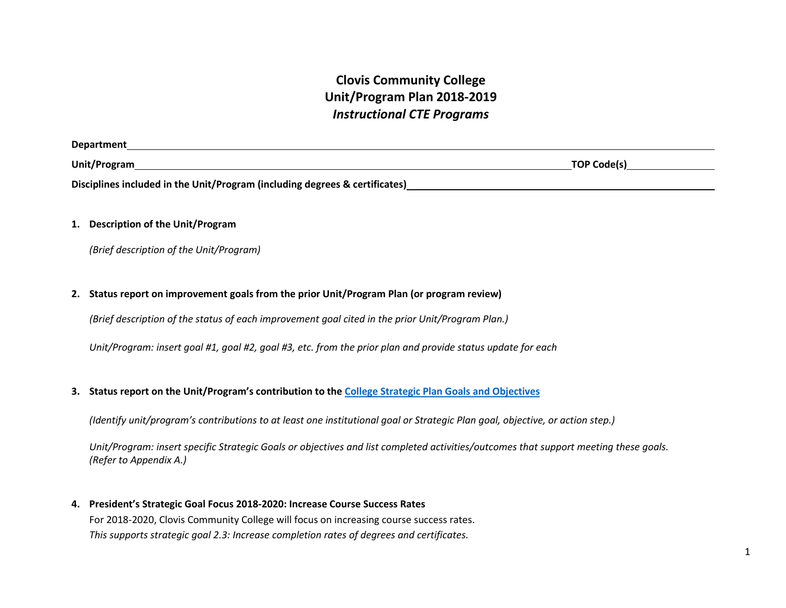# **Clovis Community College Unit/Program Plan 2018-2019**  *Instructional CTE Programs*

| <b>Department</b>                                                           |                    |
|-----------------------------------------------------------------------------|--------------------|
| Unit/Program                                                                | <b>TOP Code(s)</b> |
| Disciplines included in the Unit/Program (including degrees & certificates) |                    |

# **1. Description of the Unit/Program**

*(Brief description of the Unit/Program)* 

# **2. Status report on improvement goals from the prior Unit/Program Plan (or program review)**

*(Brief description of the status of each improvement goal cited in the prior Unit/Program Plan.)* 

*Unit/Program: insert goal #1, goal #2, goal #3, etc. from the prior plan and provide status update for each* 

#### **3. Status report on the Unit/Program's contribution to the [College Strategic Plan Goals and Objectives](https://www.cloviscollege.edu/_uploaded-files/_documents/about/ccc_strategic_plan_2017-2021.pdf)**

*(Identify unit/program's contributions to at least one institutional goal or Strategic Plan goal, objective, or action step.)* 

*Unit/Program: insert specific Strategic Goals or objectives and list completed activities/outcomes that support meeting these goals. (Refer to Appendix A.)* 

**4. President's Strategic Goal Focus 2018-2020: Increase Course Success Rates**  For 2018-2020, Clovis Community College will focus on increasing course success rates. *This supports strategic goal 2.3: Increase completion rates of degrees and certificates.*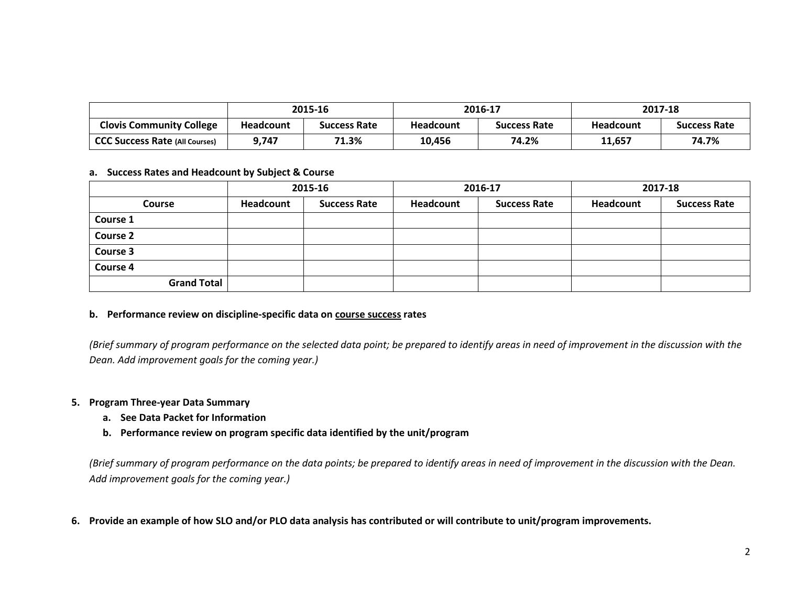|                                       | 2015-16          |                     | 2016-17          |                     | 2017-18          |                     |
|---------------------------------------|------------------|---------------------|------------------|---------------------|------------------|---------------------|
| <b>Clovis Community College</b>       | <b>Headcount</b> | <b>Success Rate</b> | <b>Headcount</b> | <b>Success Rate</b> | <b>Headcount</b> | <b>Success Rate</b> |
| <b>CCC Success Rate (All Courses)</b> | 9,747            | 71.3%               | 10,456           | 74.2%               | 11,657           | 74.7%               |

#### **a. Success Rates and Headcount by Subject & Course**

|                    |           | 2015-16             | 2016-17   |                     | 2017-18   |                     |
|--------------------|-----------|---------------------|-----------|---------------------|-----------|---------------------|
| <b>Course</b>      | Headcount | <b>Success Rate</b> | Headcount | <b>Success Rate</b> | Headcount | <b>Success Rate</b> |
| Course 1           |           |                     |           |                     |           |                     |
| <b>Course 2</b>    |           |                     |           |                     |           |                     |
| Course 3           |           |                     |           |                     |           |                     |
| Course 4           |           |                     |           |                     |           |                     |
| <b>Grand Total</b> |           |                     |           |                     |           |                     |

## **b. Performance review on discipline-specific data on course success rates**

*(Brief summary of program performance on the selected data point; be prepared to identify areas in need of improvement in the discussion with the Dean. Add improvement goals for the coming year.)* 

## **5. Program Three-year Data Summary**

- **a. See Data Packet for Information**
- **b. Performance review on program specific data identified by the unit/program**

*(Brief summary of program performance on the data points; be prepared to identify areas in need of improvement in the discussion with the Dean. Add improvement goals for the coming year.)* 

**6. Provide an example of how SLO and/or PLO data analysis has contributed or will contribute to unit/program improvements.**